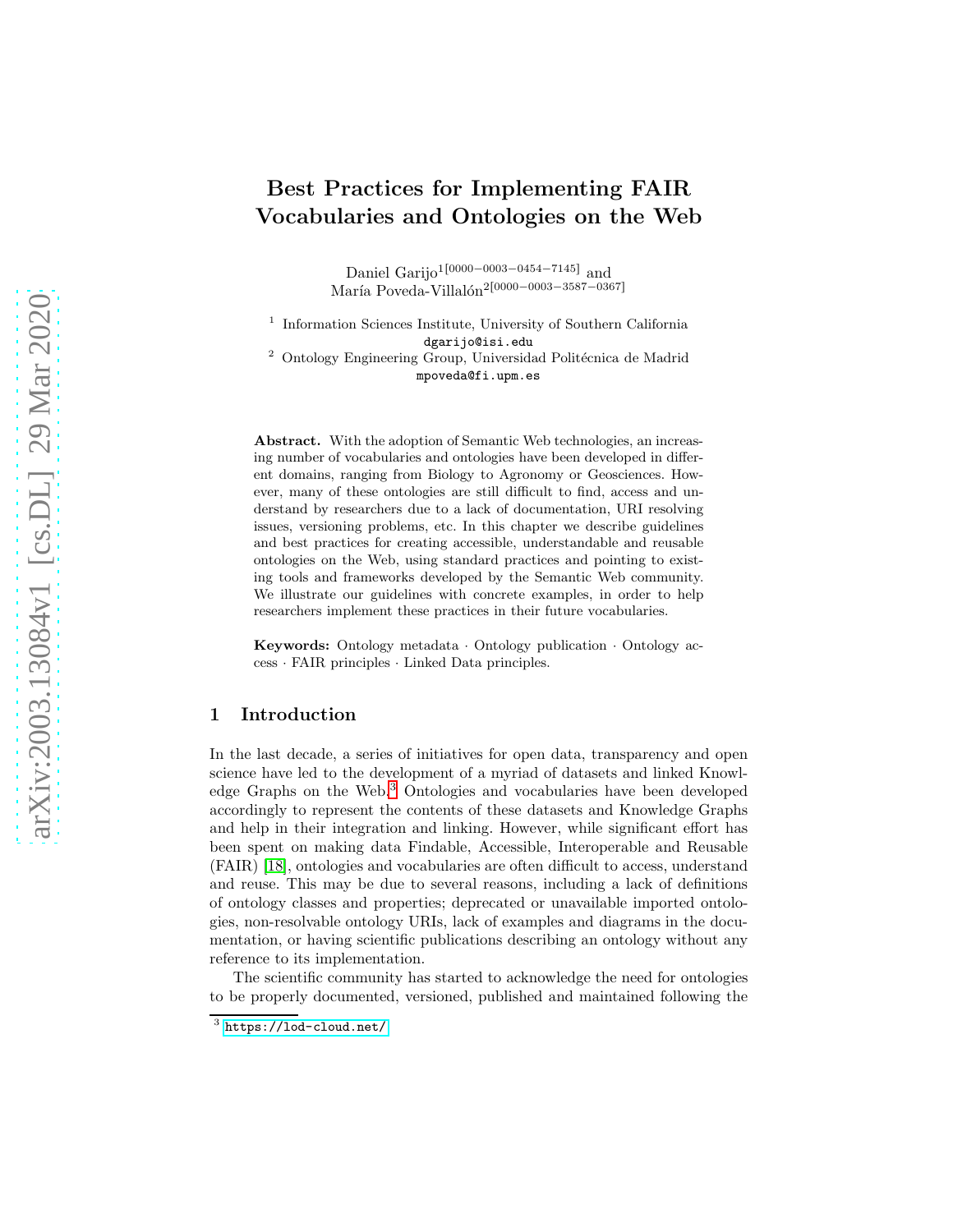# Best Practices for Implementing FAIR Vocabularies and Ontologies on the Web

Daniel Garijo<sup>1[0000-0003-0454-7145]</sup> and María Poveda-Villalón<sup>2[0000–0003–3587–0367]</sup>

<sup>1</sup> Information Sciences Institute, University of Southern California dgarijo@isi.edu  $2$  Ontology Engineering Group, Universidad Politécnica de Madrid mpoveda@fi.upm.es

Abstract. With the adoption of Semantic Web technologies, an increasing number of vocabularies and ontologies have been developed in different domains, ranging from Biology to Agronomy or Geosciences. However, many of these ontologies are still difficult to find, access and understand by researchers due to a lack of documentation, URI resolving issues, versioning problems, etc. In this chapter we describe guidelines and best practices for creating accessible, understandable and reusable ontologies on the Web, using standard practices and pointing to existing tools and frameworks developed by the Semantic Web community. We illustrate our guidelines with concrete examples, in order to help researchers implement these practices in their future vocabularies.

Keywords: Ontology metadata · Ontology publication · Ontology access · FAIR principles · Linked Data principles.

# 1 Introduction

In the last decade, a series of initiatives for open data, transparency and open science have led to the development of a myriad of datasets and linked Knowledge Graphs on the Web.[3](#page-0-0) Ontologies and vocabularies have been developed accordingly to represent the contents of these datasets and Knowledge Graphs and help in their integration and linking. However, while significant effort has been spent on making data Findable, Accessible, Interoperable and Reusable (FAIR) [\[18\]](#page-15-0), ontologies and vocabularies are often difficult to access, understand and reuse. This may be due to several reasons, including a lack of definitions of ontology classes and properties; deprecated or unavailable imported ontologies, non-resolvable ontology URIs, lack of examples and diagrams in the documentation, or having scientific publications describing an ontology without any reference to its implementation.

The scientific community has started to acknowledge the need for ontologies to be properly documented, versioned, published and maintained following the

<span id="page-0-0"></span> $3$  <https://lod-cloud.net/>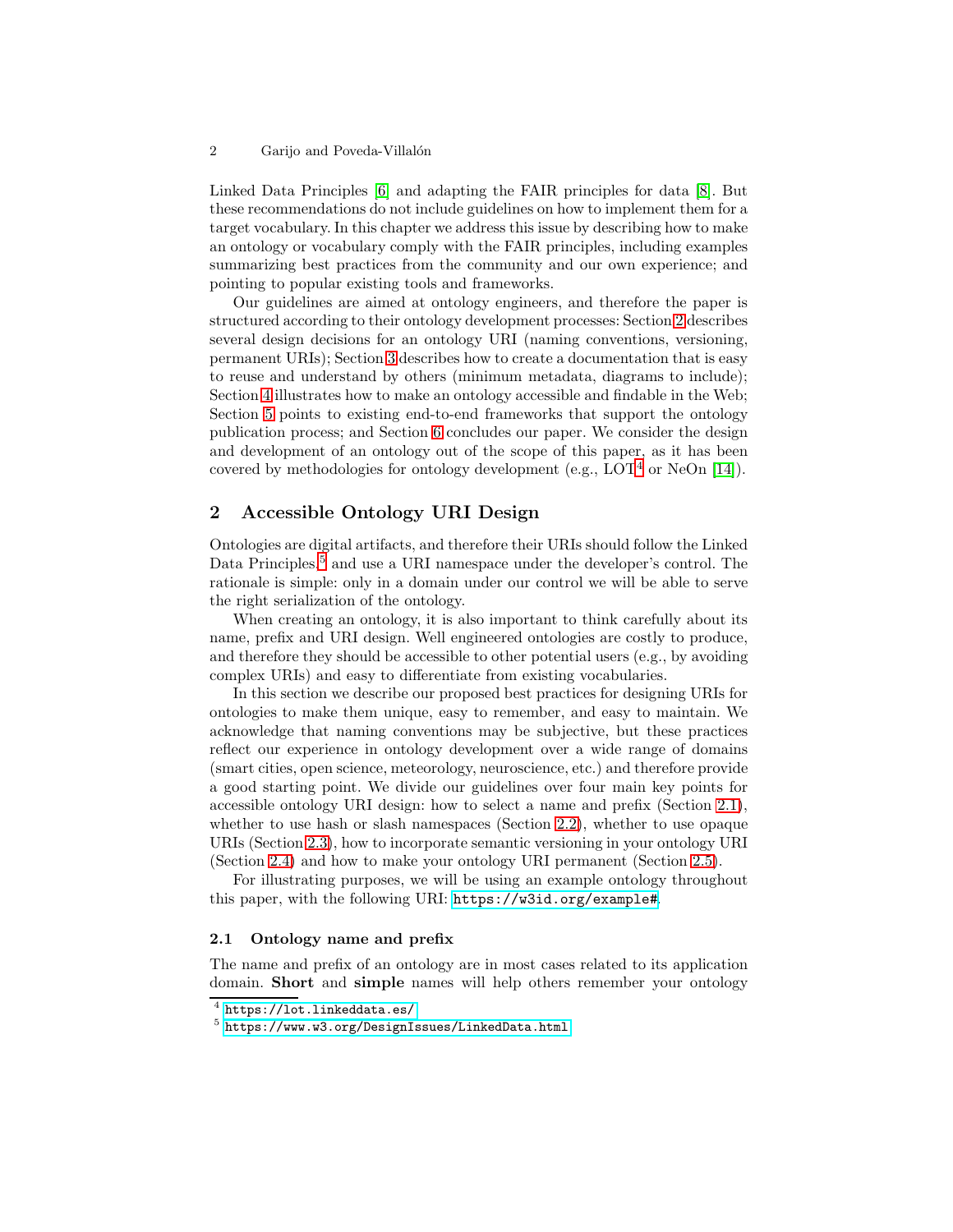Linked Data Principles [\[6\]](#page-15-1) and adapting the FAIR principles for data [\[8\]](#page-15-2). But these recommendations do not include guidelines on how to implement them for a target vocabulary. In this chapter we address this issue by describing how to make an ontology or vocabulary comply with the FAIR principles, including examples summarizing best practices from the community and our own experience; and pointing to popular existing tools and frameworks.

Our guidelines are aimed at ontology engineers, and therefore the paper is structured according to their ontology development processes: Section [2](#page-1-0) describes several design decisions for an ontology URI (naming conventions, versioning, permanent URIs); Section [3](#page-4-0) describes how to create a documentation that is easy to reuse and understand by others (minimum metadata, diagrams to include); Section [4](#page-10-0) illustrates how to make an ontology accessible and findable in the Web; Section [5](#page-14-0) points to existing end-to-end frameworks that support the ontology publication process; and Section [6](#page-14-1) concludes our paper. We consider the design and development of an ontology out of the scope of this paper, as it has been covered by methodologies for ontology development (e.g.,  $LOT<sup>4</sup>$  $LOT<sup>4</sup>$  $LOT<sup>4</sup>$  or NeOn [\[14\]](#page-15-3)).

# <span id="page-1-0"></span>2 Accessible Ontology URI Design

Ontologies are digital artifacts, and therefore their URIs should follow the Linked Data Principles,<sup>[5](#page-1-2)</sup> and use a URI namespace under the developer's control. The rationale is simple: only in a domain under our control we will be able to serve the right serialization of the ontology.

When creating an ontology, it is also important to think carefully about its name, prefix and URI design. Well engineered ontologies are costly to produce, and therefore they should be accessible to other potential users (e.g., by avoiding complex URIs) and easy to differentiate from existing vocabularies.

In this section we describe our proposed best practices for designing URIs for ontologies to make them unique, easy to remember, and easy to maintain. We acknowledge that naming conventions may be subjective, but these practices reflect our experience in ontology development over a wide range of domains (smart cities, open science, meteorology, neuroscience, etc.) and therefore provide a good starting point. We divide our guidelines over four main key points for accessible ontology URI design: how to select a name and prefix (Section [2.1\)](#page-1-3), whether to use hash or slash namespaces (Section [2.2\)](#page-2-0), whether to use opaque URIs (Section [2.3\)](#page-2-1), how to incorporate semantic versioning in your ontology URI (Section [2.4\)](#page-3-0) and how to make your ontology URI permanent (Section [2.5\)](#page-4-1).

For illustrating purposes, we will be using an example ontology throughout this paper, with the following URI: <https://w3id.org/example#>.

### <span id="page-1-3"></span>2.1 Ontology name and prefix

The name and prefix of an ontology are in most cases related to its application domain. Short and simple names will help others remember your ontology

 $^4$  <https://lot.linkeddata.es/>

<span id="page-1-2"></span><span id="page-1-1"></span><sup>5</sup> <https://www.w3.org/DesignIssues/LinkedData.html>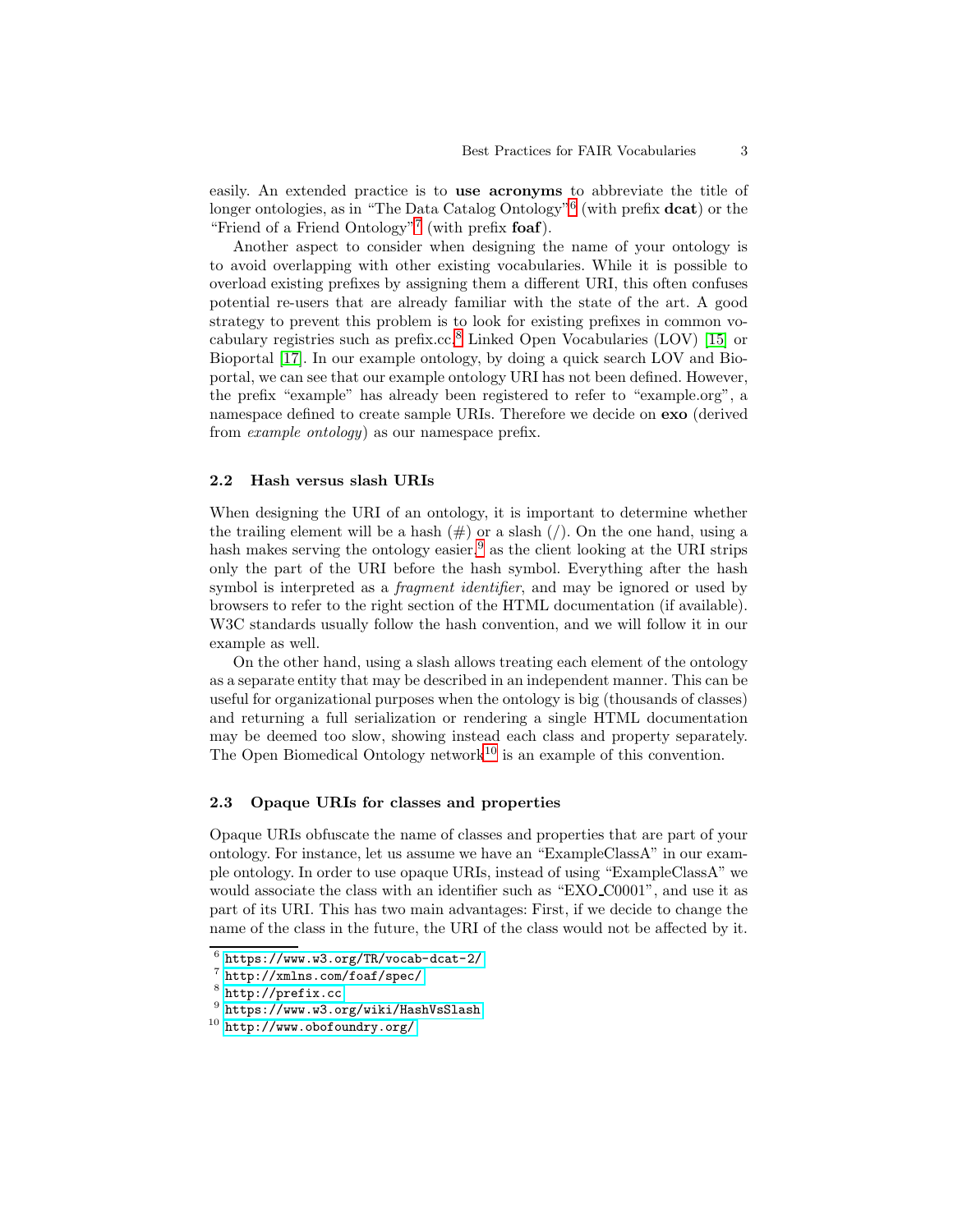easily. An extended practice is to use acronyms to abbreviate the title of longer ontologies, as in "The Data Catalog Ontology"<sup>[6](#page-2-2)</sup> (with prefix **dcat**) or the "Friend of a Friend Ontology"<sup>[7](#page-2-3)</sup> (with prefix foaf).

Another aspect to consider when designing the name of your ontology is to avoid overlapping with other existing vocabularies. While it is possible to overload existing prefixes by assigning them a different URI, this often confuses potential re-users that are already familiar with the state of the art. A good strategy to prevent this problem is to look for existing prefixes in common vo-cabulary registries such as prefix.cc,<sup>[8](#page-2-4)</sup> Linked Open Vocabularies (LOV) [\[15\]](#page-15-4) or Bioportal [\[17\]](#page-15-5). In our example ontology, by doing a quick search LOV and Bioportal, we can see that our example ontology URI has not been defined. However, the prefix "example" has already been registered to refer to "example.org", a namespace defined to create sample URIs. Therefore we decide on exo (derived from *example ontology*) as our namespace prefix.

#### <span id="page-2-0"></span>2.2 Hash versus slash URIs

When designing the URI of an ontology, it is important to determine whether the trailing element will be a hash  $(\#)$  or a slash  $($ ). On the one hand, using a hash makes serving the ontology easier,  $9$  as the client looking at the URI strips only the part of the URI before the hash symbol. Everything after the hash symbol is interpreted as a *fragment identifier*, and may be ignored or used by browsers to refer to the right section of the HTML documentation (if available). W3C standards usually follow the hash convention, and we will follow it in our example as well.

On the other hand, using a slash allows treating each element of the ontology as a separate entity that may be described in an independent manner. This can be useful for organizational purposes when the ontology is big (thousands of classes) and returning a full serialization or rendering a single HTML documentation may be deemed too slow, showing instead each class and property separately. The Open Biomedical Ontology network<sup>[10](#page-2-6)</sup> is an example of this convention.

#### <span id="page-2-1"></span>2.3 Opaque URIs for classes and properties

Opaque URIs obfuscate the name of classes and properties that are part of your ontology. For instance, let us assume we have an "ExampleClassA" in our example ontology. In order to use opaque URIs, instead of using "ExampleClassA" we would associate the class with an identifier such as "EXO C0001", and use it as part of its URI. This has two main advantages: First, if we decide to change the name of the class in the future, the URI of the class would not be affected by it.

 $^6$  <https://www.w3.org/TR/vocab-dcat-2/>

<span id="page-2-2"></span><sup>7</sup> <http://xmlns.com/foaf/spec/>

<span id="page-2-3"></span><sup>8</sup> <http://prefix.cc>

<span id="page-2-4"></span><sup>9</sup> <https://www.w3.org/wiki/HashVsSlash>

<span id="page-2-6"></span><span id="page-2-5"></span> $10$  <http://www.obofoundry.org/>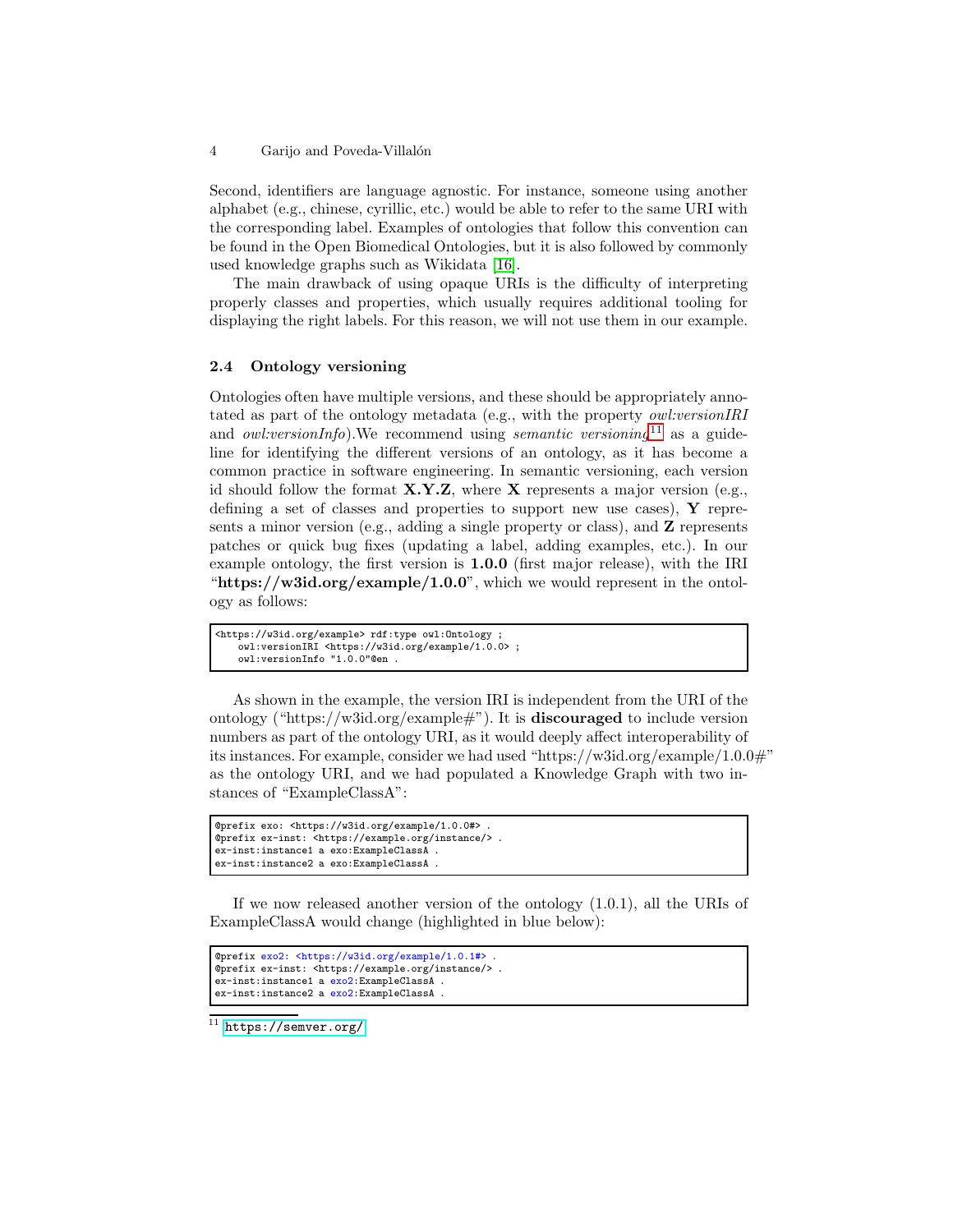Second, identifiers are language agnostic. For instance, someone using another alphabet (e.g., chinese, cyrillic, etc.) would be able to refer to the same URI with the corresponding label. Examples of ontologies that follow this convention can be found in the Open Biomedical Ontologies, but it is also followed by commonly used knowledge graphs such as Wikidata [\[16\]](#page-15-6).

The main drawback of using opaque URIs is the difficulty of interpreting properly classes and properties, which usually requires additional tooling for displaying the right labels. For this reason, we will not use them in our example.

### <span id="page-3-0"></span>2.4 Ontology versioning

Ontologies often have multiple versions, and these should be appropriately annotated as part of the ontology metadata (e.g., with the property *owl:versionIRI* and *owl:versionInfo*).We recommend using *semantic versioning*[11](#page-3-1) as a guideline for identifying the different versions of an ontology, as it has become a common practice in software engineering. In semantic versioning, each version id should follow the format  $X,Y,Z$ , where X represents a major version (e.g., defining a set of classes and properties to support new use cases),  $\bf{Y}$  represents a minor version (e.g., adding a single property or class), and  $Z$  represents patches or quick bug fixes (updating a label, adding examples, etc.). In our example ontology, the first version is 1.0.0 (first major release), with the IRI "https://w3id.org/example/1.0.0", which we would represent in the ontology as follows:

```
<https://w3id.org/example> rdf:type owl:Ontology ;
   owl:versionIRI <https://w3id.org/example/1.0.0> ;
   owl:versionInfo "1.0.0"@en .
```
As shown in the example, the version IRI is independent from the URI of the ontology ("https://w3id.org/example#"). It is **discouraged** to include version numbers as part of the ontology URI, as it would deeply affect interoperability of its instances. For example, consider we had used "https://w3id.org/example/1.0.0#" as the ontology URI, and we had populated a Knowledge Graph with two instances of "ExampleClassA":

```
@prefix exo: <https://w3id.org/example/1.0.0#> .
@prefix ex-inst: <https://example.org/instance/> .
ex-inst:instance1 a exo:ExampleClassA .
ex-inst:instance2 a exo:ExampleClassA .
```
If we now released another version of the ontology (1.0.1), all the URIs of ExampleClassA would change (highlighted in blue below):

```
@prefix exo2: <https://w3id.org/example/1.0.1#> .
@prefix ex-inst: <https://example.org/instance/> .
ex-inst:instance1 a exo2:ExampleClassA .
ex-inst:instance2 a exo2:ExampleClassA
```
<span id="page-3-1"></span><https://semver.org/>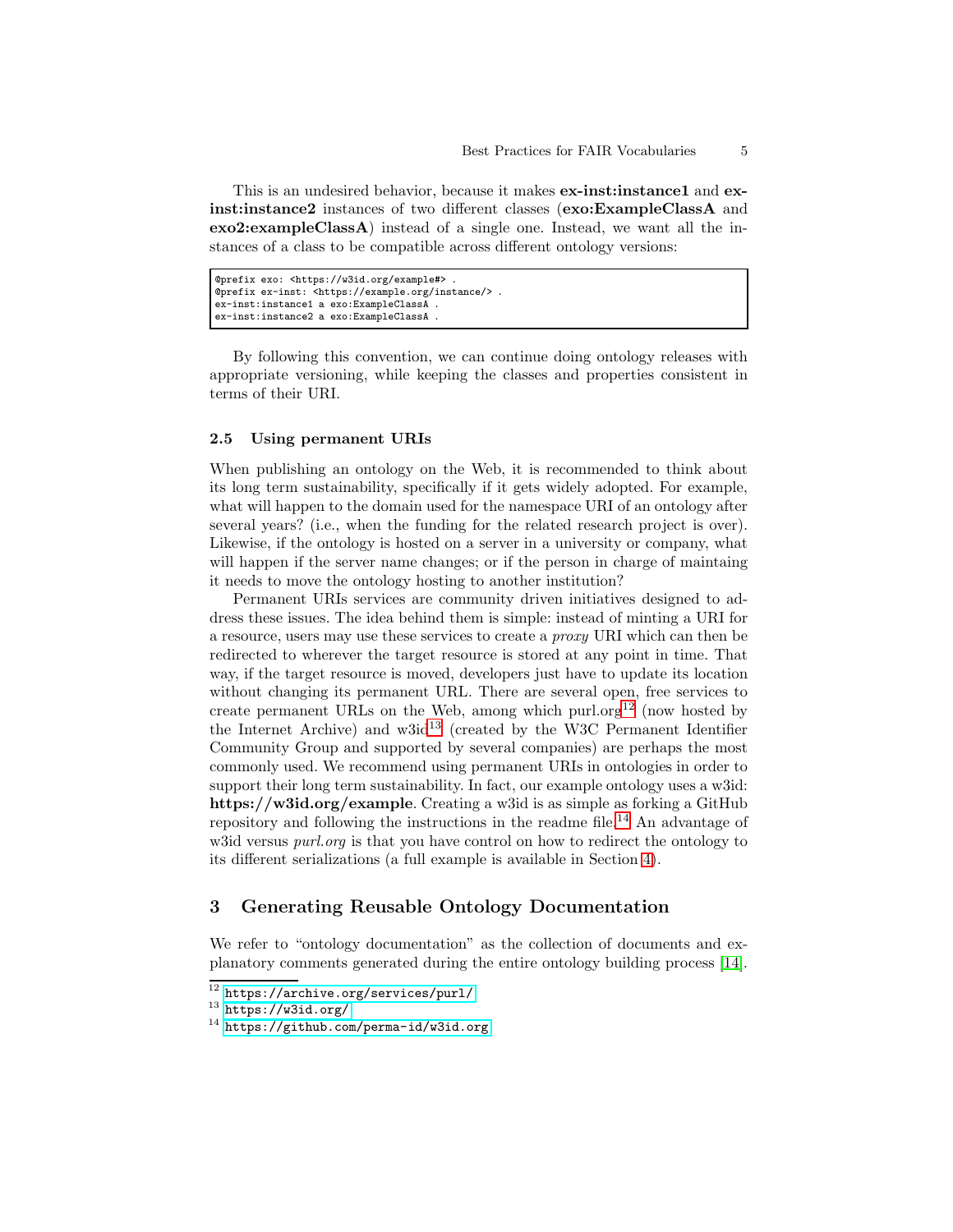This is an undesired behavior, because it makes **ex-instinitional ex**inst:instance2 instances of two different classes (exo:ExampleClassA and exo2:exampleClassA) instead of a single one. Instead, we want all the instances of a class to be compatible across different ontology versions:

```
@prefix exo: <https://w3id.org/example#> .
@prefix ex-inst: <https://example.org/instance/> .
ex-inst:instance1 a exo:ExampleClassA .
ex-inst:instance2 a exo:ExampleClassA .
```
By following this convention, we can continue doing ontology releases with appropriate versioning, while keeping the classes and properties consistent in terms of their URI.

#### <span id="page-4-1"></span>2.5 Using permanent URIs

When publishing an ontology on the Web, it is recommended to think about its long term sustainability, specifically if it gets widely adopted. For example, what will happen to the domain used for the namespace URI of an ontology after several years? (i.e., when the funding for the related research project is over). Likewise, if the ontology is hosted on a server in a university or company, what will happen if the server name changes; or if the person in charge of maintaing it needs to move the ontology hosting to another institution?

Permanent URIs services are community driven initiatives designed to address these issues. The idea behind them is simple: instead of minting a URI for a resource, users may use these services to create a *proxy* URI which can then be redirected to wherever the target resource is stored at any point in time. That way, if the target resource is moved, developers just have to update its location without changing its permanent URL. There are several open, free services to create permanent URLs on the Web, among which purl.org<sup>[12](#page-4-2)</sup> (now hosted by the Internet Archive) and  $w3id^{13}$  $w3id^{13}$  $w3id^{13}$  (created by the W3C Permanent Identifier Community Group and supported by several companies) are perhaps the most commonly used. We recommend using permanent URIs in ontologies in order to support their long term sustainability. In fact, our example ontology uses a w3id: https://w3id.org/example. Creating a w3id is as simple as forking a GitHub repository and following the instructions in the readme file.[14](#page-4-4) An advantage of w3id versus *purl.org* is that you have control on how to redirect the ontology to its different serializations (a full example is available in Section [4\)](#page-10-0).

# <span id="page-4-0"></span>3 Generating Reusable Ontology Documentation

We refer to "ontology documentation" as the collection of documents and explanatory comments generated during the entire ontology building process [\[14\]](#page-15-3).

 $^{12}$ <https://archive.org/services/purl/>

<span id="page-4-2"></span> $13$  <https://w3id.org/>

<span id="page-4-4"></span><span id="page-4-3"></span><sup>14</sup> <https://github.com/perma-id/w3id.org>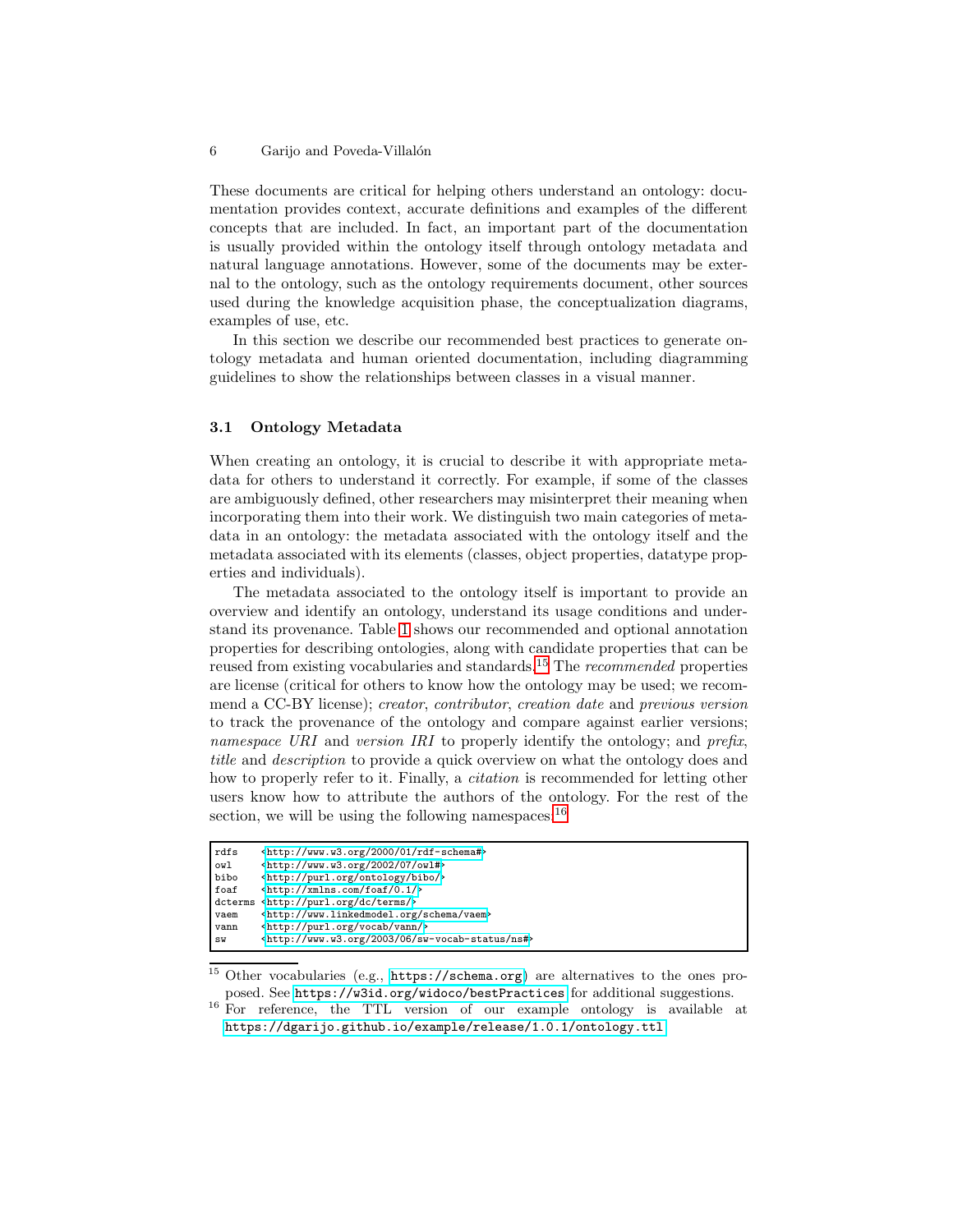These documents are critical for helping others understand an ontology: documentation provides context, accurate definitions and examples of the different concepts that are included. In fact, an important part of the documentation is usually provided within the ontology itself through ontology metadata and natural language annotations. However, some of the documents may be external to the ontology, such as the ontology requirements document, other sources used during the knowledge acquisition phase, the conceptualization diagrams, examples of use, etc.

In this section we describe our recommended best practices to generate ontology metadata and human oriented documentation, including diagramming guidelines to show the relationships between classes in a visual manner.

#### <span id="page-5-2"></span>3.1 Ontology Metadata

When creating an ontology, it is crucial to describe it with appropriate metadata for others to understand it correctly. For example, if some of the classes are ambiguously defined, other researchers may misinterpret their meaning when incorporating them into their work. We distinguish two main categories of metadata in an ontology: the metadata associated with the ontology itself and the metadata associated with its elements (classes, object properties, datatype properties and individuals).

The metadata associated to the ontology itself is important to provide an overview and identify an ontology, understand its usage conditions and understand its provenance. Table [1](#page-6-0) shows our recommended and optional annotation properties for describing ontologies, along with candidate properties that can be reused from existing vocabularies and standards.[15](#page-5-0) The *recommended* properties are license (critical for others to know how the ontology may be used; we recommend a CC-BY license); *creator*, *contributor*, *creation date* and *previous version* to track the provenance of the ontology and compare against earlier versions; *namespace URI* and *version IRI* to properly identify the ontology; and *prefix*, *title* and *description* to provide a quick overview on what the ontology does and how to properly refer to it. Finally, a *citation* is recommended for letting other users know how to attribute the authors of the ontology. For the rest of the section, we will be using the following namespaces:  $16$ 

| rdfs | <http: 01="" 2000="" rdf-schema#="" www.w3.org=""></http:>            |
|------|-----------------------------------------------------------------------|
| owl  | $\frac{\text{tht}}{\text{t}}$ //www.w3.org/2002/07/owl#>              |
| bibo | <http: bibo="" ontology="" purl.org=""></http:>                       |
| foaf | $\frac{\text{tht}}{\text{t}}$ //xmlns.com/foaf/0.1/>                  |
|      | dcterms <http: dc="" purl.org="" terms=""></http:>                    |
| vaem | <http: schema="" vaem="" www.linkedmodel.org=""></http:>              |
| vann | <http: purl.org="" vann="" vocab=""></http:>                          |
| SW   | <http: 06="" 2003="" ns#="" sw-vocab-status="" www.w3.org=""></http:> |

<span id="page-5-0"></span><sup>15</sup> Other vocabularies (e.g., <https://schema.org>) are alternatives to the ones proposed. See <https://w3id.org/widoco/bestPractices> for additional suggestions.

<span id="page-5-1"></span><sup>16</sup> For reference, the TTL version of our example ontology is available at <https://dgarijo.github.io/example/release/1.0.1/ontology.ttl>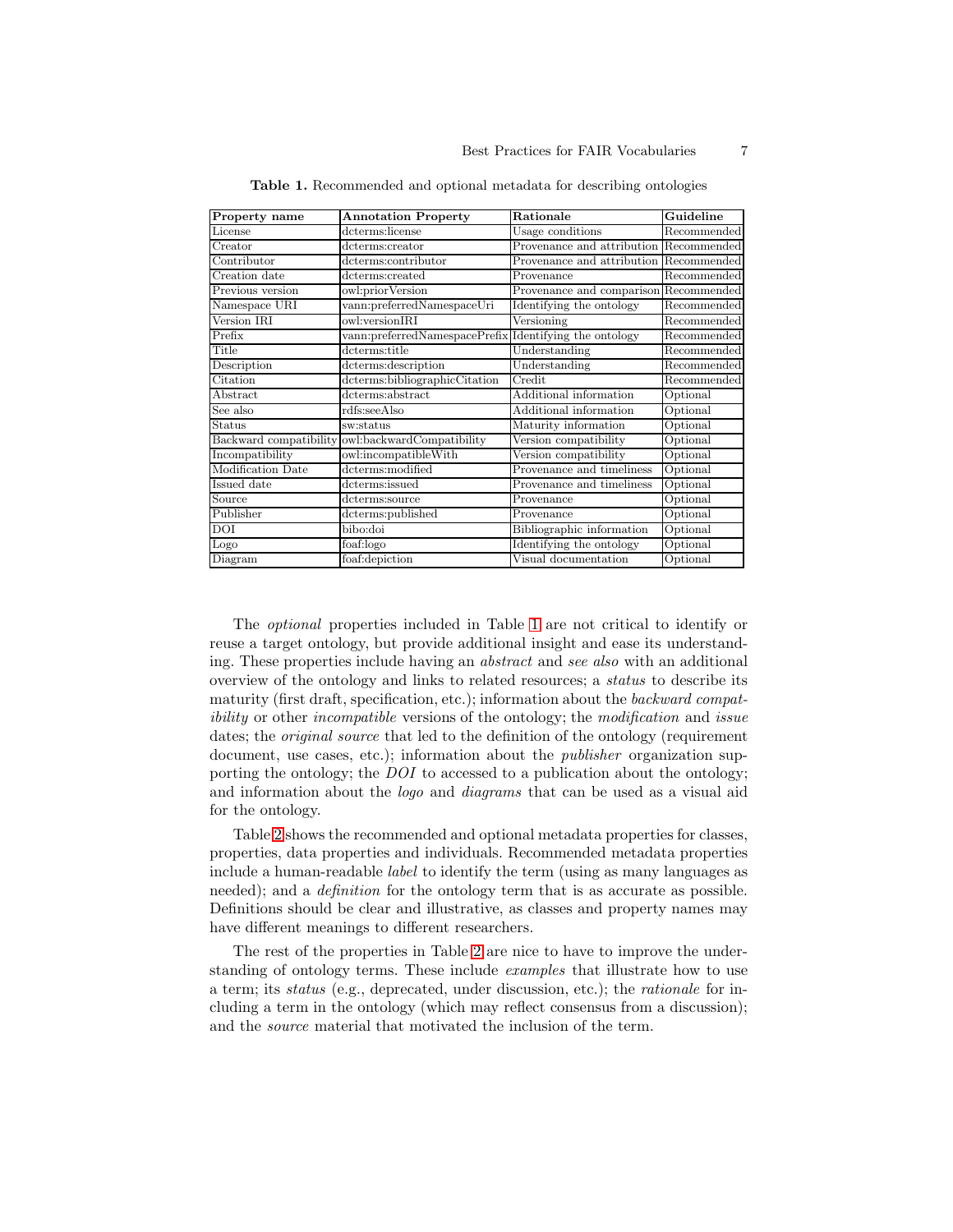| Property name          | <b>Annotation Property</b>                             | Rationale                              | Guideline   |
|------------------------|--------------------------------------------------------|----------------------------------------|-------------|
| License                | dcterms:license                                        | Usage conditions                       | Recommended |
| Creator                | dcterms:creator                                        | Provenance and attribution Recommended |             |
| Contributor            | dcterms:contributor                                    | Provenance and attribution Recommended |             |
| Creation date          | dcterms:created                                        | Provenance                             | Recommended |
| Previous version       | owl:priorVersion                                       | Provenance and comparison Recommended  |             |
| Namespace URI          | vann:preferredNamespaceUri                             | Identifying the ontology               | Recommended |
| Version IRI            | owl:versionIRI                                         | Versioning                             | Recommended |
| Prefix                 | vann:preferredNamespacePrefix Identifying the ontology |                                        | Recommended |
| Title                  | dcterms:title                                          | Understanding                          | Recommended |
| Description            | dcterms:description                                    | Understanding                          | Recommended |
| Citation               | dcterms:bibliographicCitation                          | Credit                                 | Recommended |
| Abstract               | dcterms:abstract                                       | Additional information                 | Optional    |
| See also               | rdfs:seeAlso                                           | Additional information                 | Optional    |
| <b>Status</b>          | sw:status                                              | Maturity information                   | Optional    |
| Backward compatibility | owl:backwardCompatibility                              | Version compatibility                  | Optional    |
| Incompatibility        | owl:incompatibleWith                                   | Version compatibility                  | Optional    |
| Modification Date      | dcterms:modified                                       | Provenance and timeliness              | Optional    |
| Issued date            | dcterms:issued                                         | Provenance and timeliness              | Optional    |
| Source                 | dcterms:source                                         | Provenance                             | Optional    |
| Publisher              | dcterms:published                                      | Provenance                             | Optional    |
| <b>DOI</b>             | bibo:doi                                               | Bibliographic information              | Optional    |
| Logo                   | foaf:logo                                              | Identifying the ontology               | Optional    |
| Diagram                | foaf:depiction                                         | Visual documentation                   | Optional    |

<span id="page-6-0"></span>Table 1. Recommended and optional metadata for describing ontologies

The *optional* properties included in Table [1](#page-6-0) are not critical to identify or reuse a target ontology, but provide additional insight and ease its understanding. These properties include having an *abstract* and *see also* with an additional overview of the ontology and links to related resources; a *status* to describe its maturity (first draft, specification, etc.); information about the *backward compatibility* or other *incompatible* versions of the ontology; the *modification* and *issue* dates; the *original source* that led to the definition of the ontology (requirement document, use cases, etc.); information about the *publisher* organization supporting the ontology; the *DOI* to accessed to a publication about the ontology; and information about the *logo* and *diagrams* that can be used as a visual aid for the ontology.

Table [2](#page-7-0) shows the recommended and optional metadata properties for classes, properties, data properties and individuals. Recommended metadata properties include a human-readable *label* to identify the term (using as many languages as needed); and a *definition* for the ontology term that is as accurate as possible. Definitions should be clear and illustrative, as classes and property names may have different meanings to different researchers.

The rest of the properties in Table [2](#page-7-0) are nice to have to improve the understanding of ontology terms. These include *examples* that illustrate how to use a term; its *status* (e.g., deprecated, under discussion, etc.); the *rationale* for including a term in the ontology (which may reflect consensus from a discussion); and the *source* material that motivated the inclusion of the term.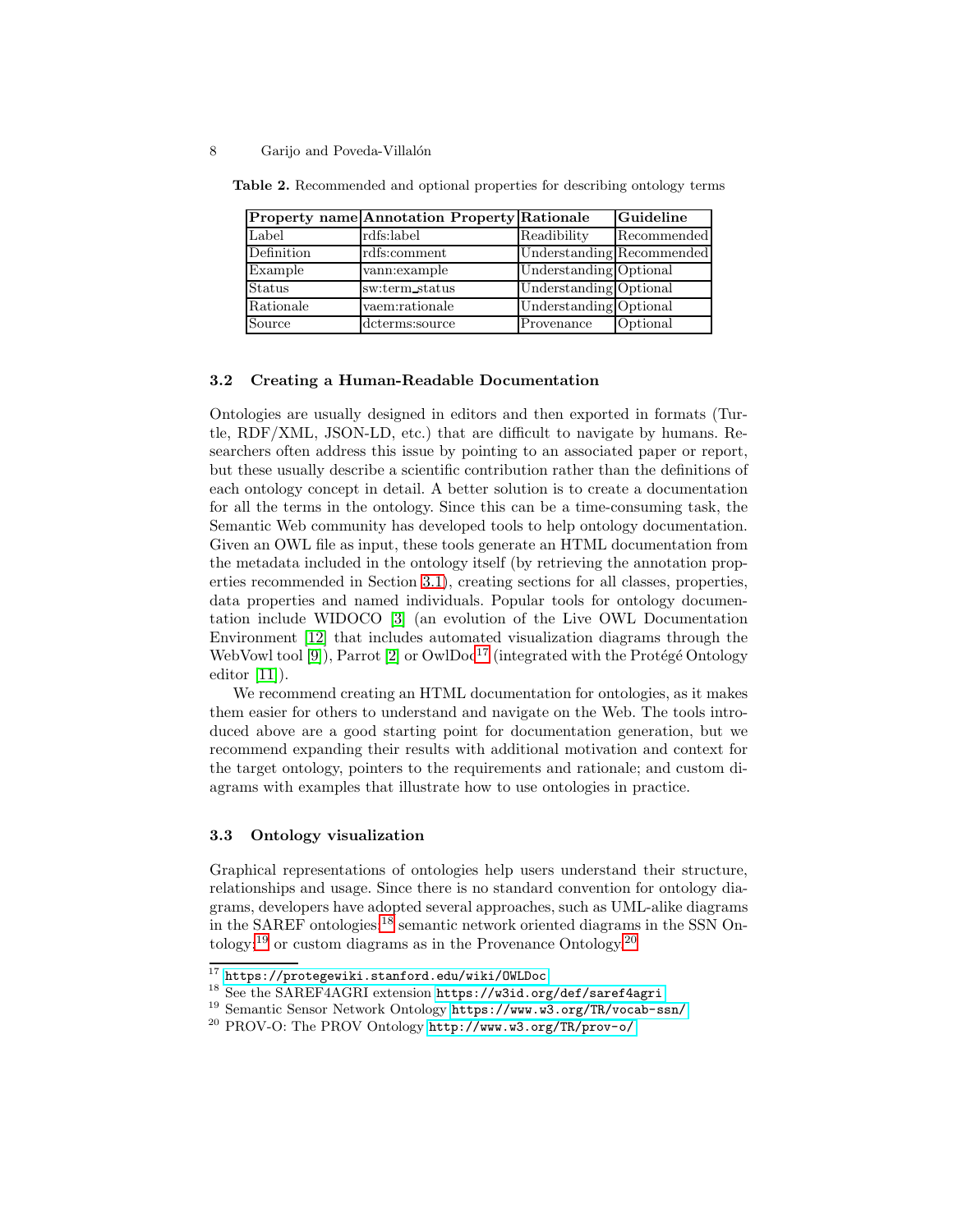<span id="page-7-0"></span>

|               | <b>Property name Annotation Property Rationale</b> |                           | Guideline   |
|---------------|----------------------------------------------------|---------------------------|-------------|
| Label         | rdfs:label                                         | Readibility               | Recommended |
| Definition    | rdfs:comment                                       | Understanding Recommended |             |
| Example       | vann: example                                      | Understanding Optional    |             |
| <b>Status</b> | sw:term_status                                     | Understanding Optional    |             |
| Rationale     | vaem:rationale                                     | Understanding Optional    |             |
| Source        | dcterms:source                                     | Provenance                | Optional    |

Table 2. Recommended and optional properties for describing ontology terms

#### 3.2 Creating a Human-Readable Documentation

Ontologies are usually designed in editors and then exported in formats (Turtle, RDF/XML, JSON-LD, etc.) that are difficult to navigate by humans. Researchers often address this issue by pointing to an associated paper or report, but these usually describe a scientific contribution rather than the definitions of each ontology concept in detail. A better solution is to create a documentation for all the terms in the ontology. Since this can be a time-consuming task, the Semantic Web community has developed tools to help ontology documentation. Given an OWL file as input, these tools generate an HTML documentation from the metadata included in the ontology itself (by retrieving the annotation properties recommended in Section [3.1\)](#page-5-2), creating sections for all classes, properties, data properties and named individuals. Popular tools for ontology documentation include WIDOCO [\[3\]](#page-15-7) (an evolution of the Live OWL Documentation Environment [\[12\]](#page-15-8) that includes automated visualization diagrams through the WebVowl tool [\[9\]](#page-15-9)), Parrot [\[2\]](#page-14-2) or  $\text{Ow} \cdot \text{Do} \cdot 1^7$  (integrated with the Protégé Ontology editor [\[11\]](#page-15-10)).

We recommend creating an HTML documentation for ontologies, as it makes them easier for others to understand and navigate on the Web. The tools introduced above are a good starting point for documentation generation, but we recommend expanding their results with additional motivation and context for the target ontology, pointers to the requirements and rationale; and custom diagrams with examples that illustrate how to use ontologies in practice.

#### 3.3 Ontology visualization

Graphical representations of ontologies help users understand their structure, relationships and usage. Since there is no standard convention for ontology diagrams, developers have adopted several approaches, such as UML-alike diagrams in the SAREF ontologies;<sup>[18](#page-7-2)</sup> semantic network oriented diagrams in the SSN On-tology;<sup>[19](#page-7-3)</sup> or custom diagrams as in the Provenance Ontology.<sup>[20](#page-7-4)</sup>

<sup>17</sup> <https://protegewiki.stanford.edu/wiki/OWLDoc>

<span id="page-7-1"></span><sup>18</sup> See the SAREF4AGRI extension <https://w3id.org/def/saref4agri>

<span id="page-7-2"></span><sup>19</sup> Semantic Sensor Network Ontology <https://www.w3.org/TR/vocab-ssn/>

<span id="page-7-4"></span><span id="page-7-3"></span><sup>20</sup> PROV-O: The PROV Ontology <http://www.w3.org/TR/prov-o/>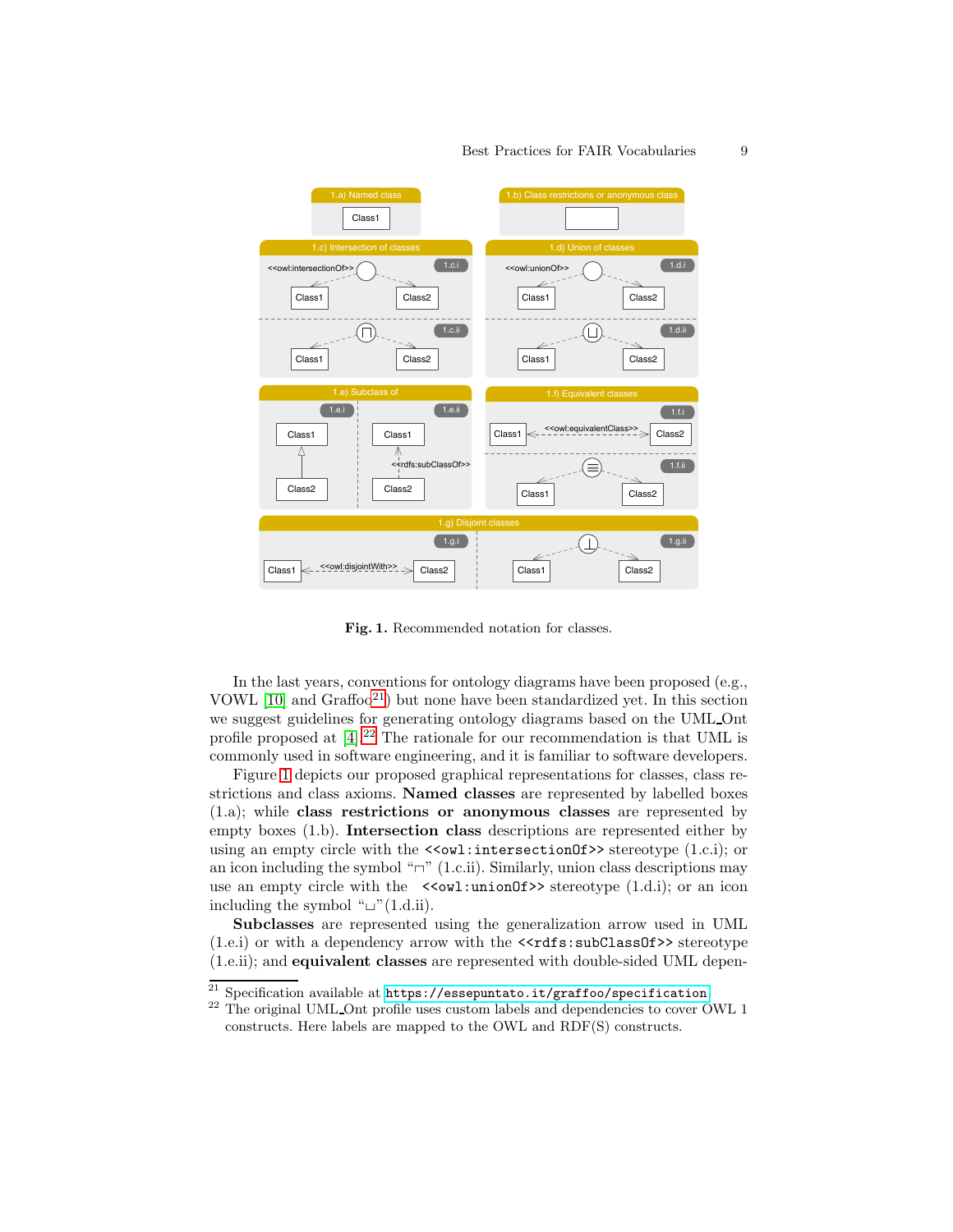

#### Best Practices for FAIR Vocabularies 9

<span id="page-8-2"></span>Fig. 1. Recommended notation for classes.

In the last years, conventions for ontology diagrams have been proposed (e.g., VOWL [\[10\]](#page-15-11) and Graffoo[21](#page-8-0)) but none have been standardized yet. In this section we suggest guidelines for generating ontology diagrams based on the UML Ont profile proposed at [\[4\]](#page-15-12).[22](#page-8-1) The rationale for our recommendation is that UML is commonly used in software engineering, and it is familiar to software developers.

Figure [1](#page-8-2) depicts our proposed graphical representations for classes, class restrictions and class axioms. Named classes are represented by labelled boxes (1.a); while class restrictions or anonymous classes are represented by empty boxes (1.b). Intersection class descriptions are represented either by using an empty circle with the  $\le$  owl: intersection of  $\ge$  stereotype (1.c.i); or an icon including the symbol " $\Box$ " (1.c.ii). Similarly, union class descriptions may use an empty circle with the  $\leq \leq \text{val:unionOf}\geq$  stereotype  $(1.d. i)$ ; or an icon including the symbol " $\sqcup$ "(1.d.ii).

Subclasses are represented using the generalization arrow used in UML  $(1.e. i)$  or with a dependency arrow with the  $\leq$ rdfs:subClassOf>> stereotype (1.e.ii); and equivalent classes are represented with double-sided UML depen-

 $^\mathrm{21}$  Specification available at <code><https://essepuntato.it/graffoo/specification></code>

<span id="page-8-1"></span><span id="page-8-0"></span> $^{22}$  The original UML Ont profile uses custom labels and dependencies to cover OWL  $1\,$ constructs. Here labels are mapped to the OWL and RDF(S) constructs.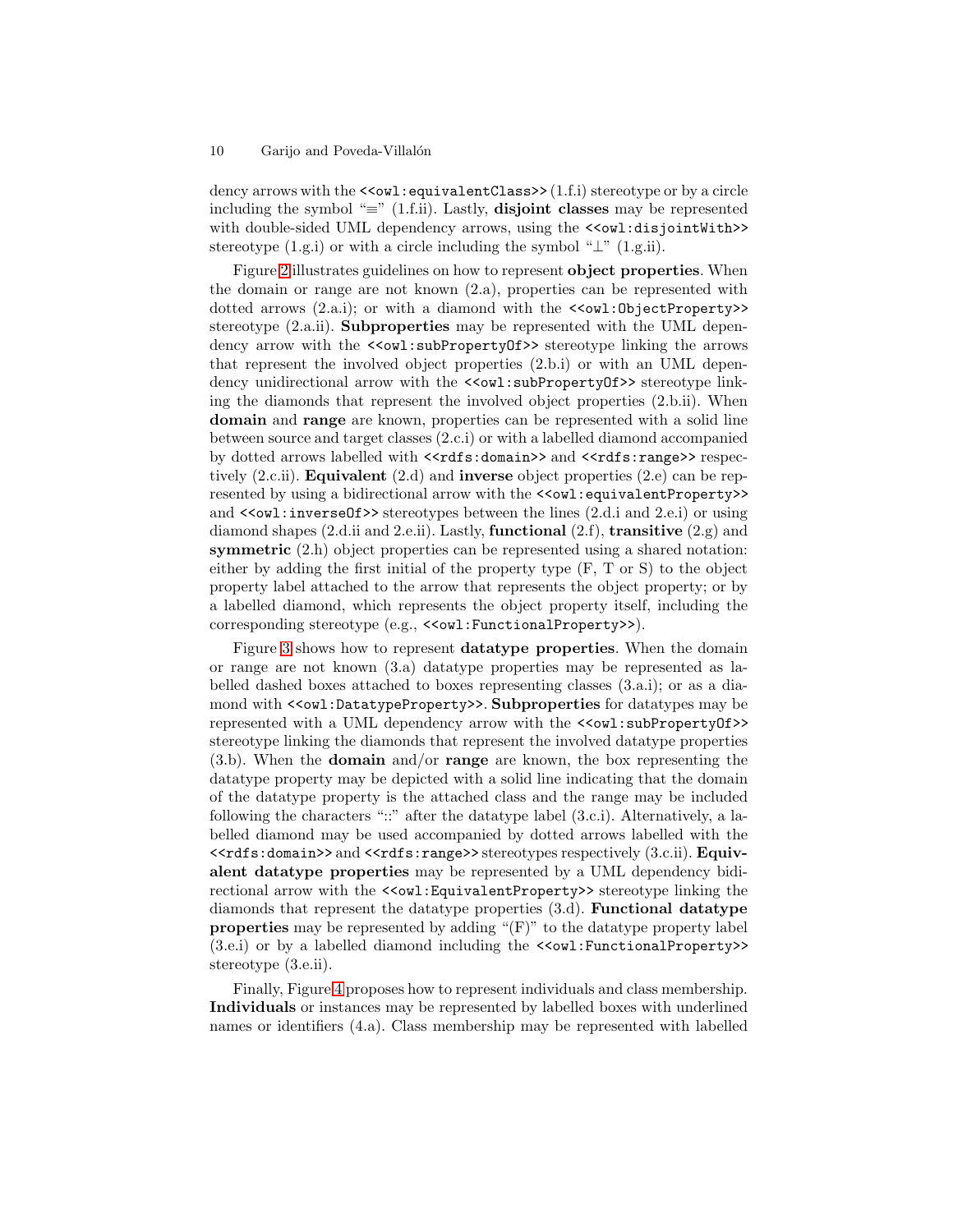dency arrows with the  $\le$  owl: equivalent Class >> (1.f.i) stereotype or by a circle including the symbol " $\equiv$ " (1.f.ii). Lastly, **disjoint classes** may be represented with double-sided UML dependency arrows, using the  $\langle 0 \rangle$  disjointWith>> stereotype (1.g.i) or with a circle including the symbol " $\perp$ " (1.g.ii).

Figure [2](#page-10-1) illustrates guidelines on how to represent object properties. When the domain or range are not known (2.a), properties can be represented with dotted arrows  $(2.a.1)$ ; or with a diamond with the  $\le$  wil: Object Property>> stereotype (2.a.ii). Subproperties may be represented with the UML dependency arrow with the  $\leq \leq wl$ : subPropertyOf>> stereotype linking the arrows that represent the involved object properties (2.b.i) or with an UML dependency unidirectional arrow with the  $\le$  with subPropertyOf>> stereotype linking the diamonds that represent the involved object properties (2.b.ii). When domain and range are known, properties can be represented with a solid line between source and target classes (2.c.i) or with a labelled diamond accompanied by dotted arrows labelled with  $\langle \mathsf{rdfs:domain>} \rangle$  and  $\langle \mathsf{rdfs:range>} \rangle$  respectively  $(2 \text{c.ii})$ . **Equivalent**  $(2 \text{d})$  and **inverse** object properties  $(2 \text{e})$  can be represented by using a bidirectional arrow with the <<owl:equivalentProperty>> and  $\le$  owl: inverseOf>> stereotypes between the lines (2.d.i and 2.e.i) or using diamond shapes (2.d.ii and 2.e.ii). Lastly, functional (2.f), transitive (2.g) and symmetric (2.h) object properties can be represented using a shared notation: either by adding the first initial of the property type (F, T or S) to the object property label attached to the arrow that represents the object property; or by a labelled diamond, which represents the object property itself, including the corresponding stereotype (e.g., <<owl:FunctionalProperty>>).

Figure [3](#page-11-0) shows how to represent datatype properties. When the domain or range are not known (3.a) datatype properties may be represented as labelled dashed boxes attached to boxes representing classes (3.a.i); or as a diamond with <<owl:DatatypeProperty>>. Subproperties for datatypes may be represented with a UML dependency arrow with the  $\langle \text{Cowl}: \text{subPropertyOf} \rangle$ stereotype linking the diamonds that represent the involved datatype properties  $(3.b)$ . When the **domain** and/or **range** are known, the box representing the datatype property may be depicted with a solid line indicating that the domain of the datatype property is the attached class and the range may be included following the characters "::" after the datatype label (3.c.i). Alternatively, a labelled diamond may be used accompanied by dotted arrows labelled with the <<rdfs:domain>> and <<rdfs:range>> stereotypes respectively (3.c.ii). Equivalent datatype properties may be represented by a UML dependency bidirectional arrow with the  $<<$ wl:EquivalentProperty>> stereotype linking the diamonds that represent the datatype properties (3.d). Functional datatype properties may be represented by adding "(F)" to the datatype property label (3.e.i) or by a labelled diamond including the <<owl:FunctionalProperty>> stereotype (3.e.ii).

Finally, Figure [4](#page-11-1) proposes how to represent individuals and class membership. Individuals or instances may be represented by labelled boxes with underlined names or identifiers (4.a). Class membership may be represented with labelled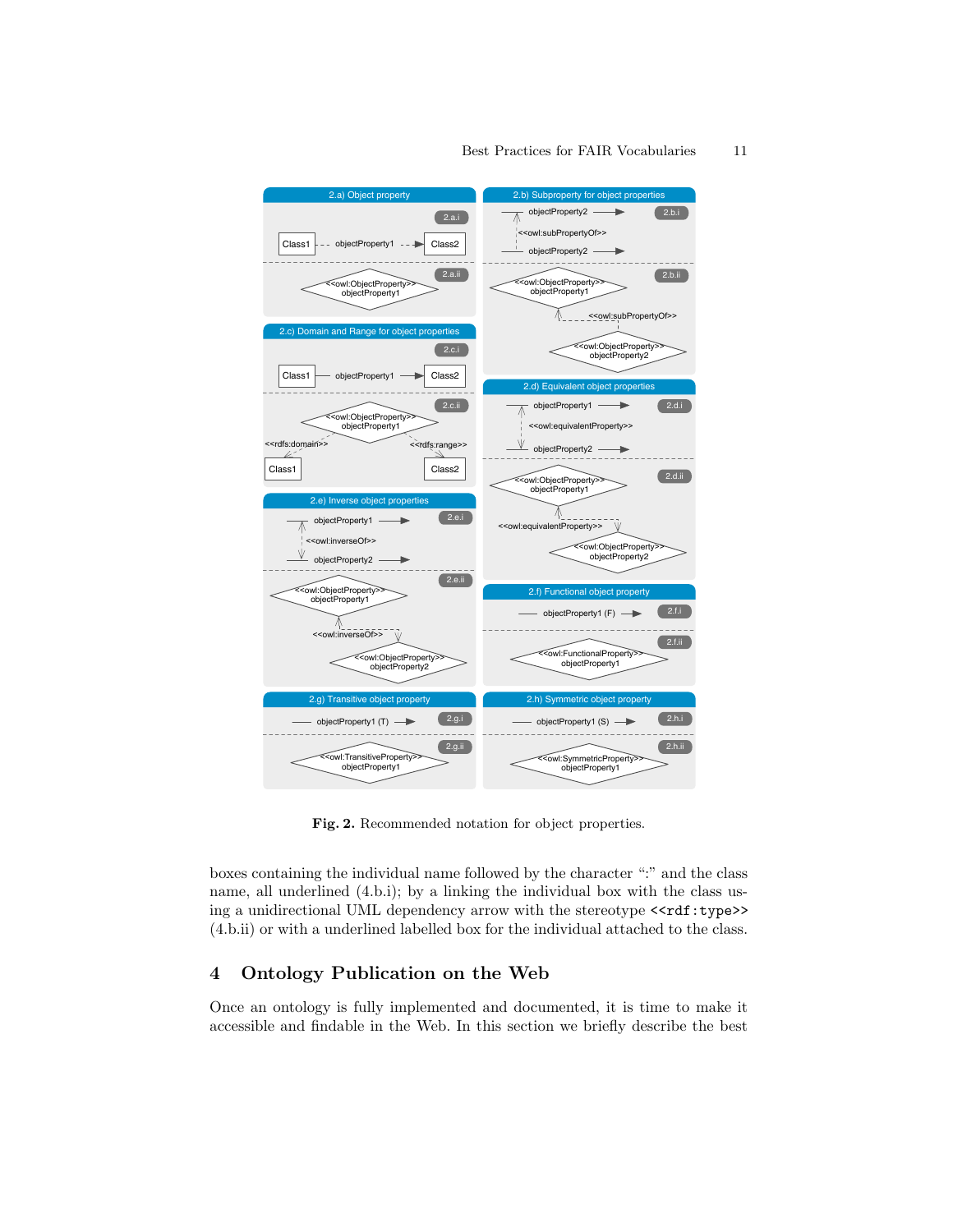

#### Best Practices for FAIR Vocabularies 11

<span id="page-10-1"></span>Fig. 2. Recommended notation for object properties.

boxes containing the individual name followed by the character ":" and the class name, all underlined (4.b.i); by a linking the individual box with the class using a unidirectional UML dependency arrow with the stereotype <<rdf:type>> (4.b.ii) or with a underlined labelled box for the individual attached to the class.

# <span id="page-10-0"></span>4 Ontology Publication on the Web

Once an ontology is fully implemented and documented, it is time to make it accessible and findable in the Web. In this section we briefly describe the best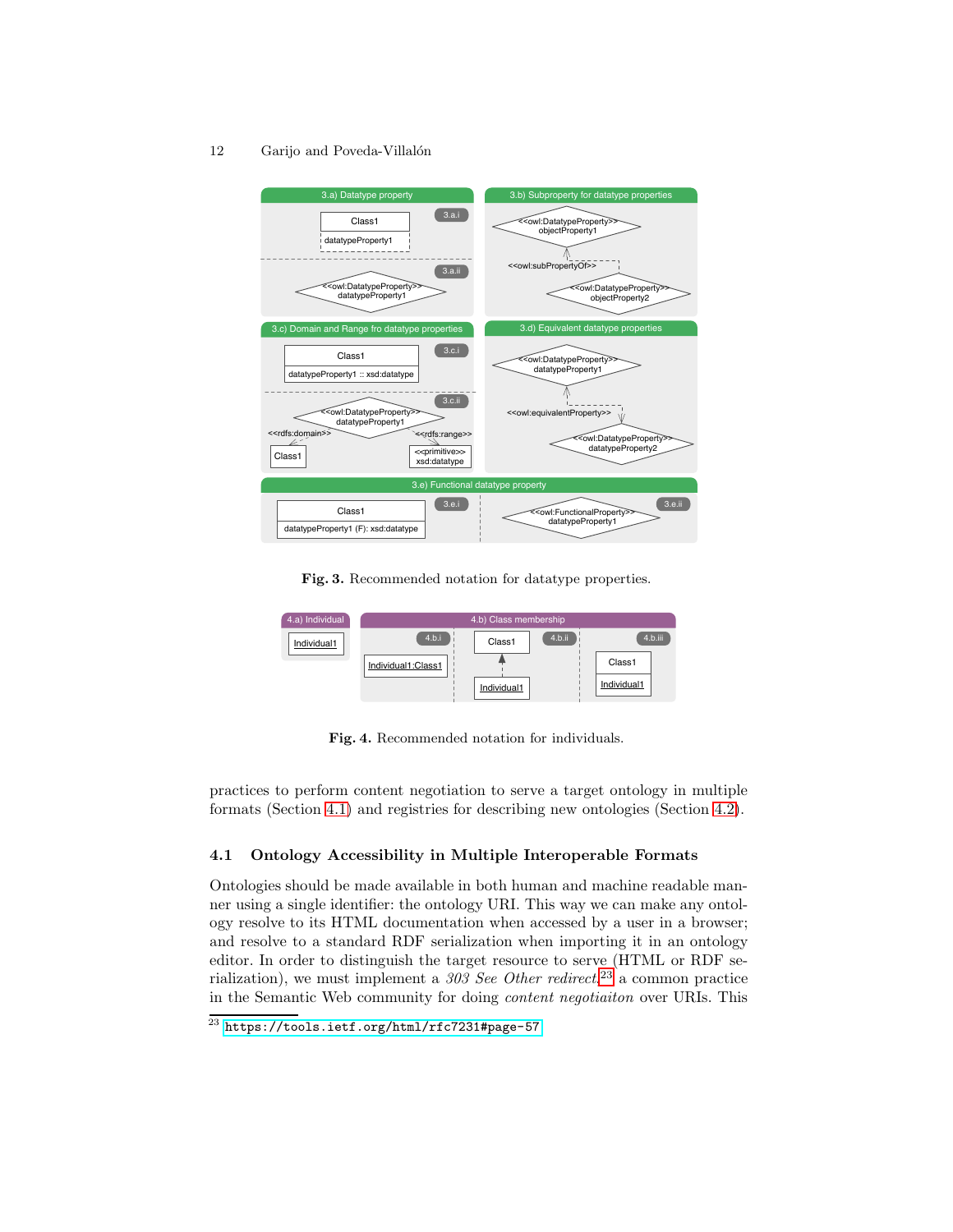

<span id="page-11-0"></span>Fig. 3. Recommended notation for datatype properties.

| 4.a) Individual | 4.b) Class membership |             |        |             |  |
|-----------------|-----------------------|-------------|--------|-------------|--|
| Individual1     | 4.b.i                 | Class1      | 4.b.ii | 4.b.iii     |  |
|                 | Individual1:Class1    |             |        | Class1      |  |
|                 |                       | Individual1 |        | Individual1 |  |

<span id="page-11-1"></span>Fig. 4. Recommended notation for individuals.

practices to perform content negotiation to serve a target ontology in multiple formats (Section [4.1\)](#page-11-2) and registries for describing new ontologies (Section [4.2\)](#page-13-0).

# <span id="page-11-2"></span>4.1 Ontology Accessibility in Multiple Interoperable Formats

Ontologies should be made available in both human and machine readable manner using a single identifier: the ontology URI. This way we can make any ontology resolve to its HTML documentation when accessed by a user in a browser; and resolve to a standard RDF serialization when importing it in an ontology editor. In order to distinguish the target resource to serve (HTML or RDF serialization), we must implement a *303 See Other redirect*, [23](#page-11-3) a common practice in the Semantic Web community for doing *content negotiaiton* over URIs. This

<span id="page-11-3"></span><sup>23</sup> <https://tools.ietf.org/html/rfc7231#page-57>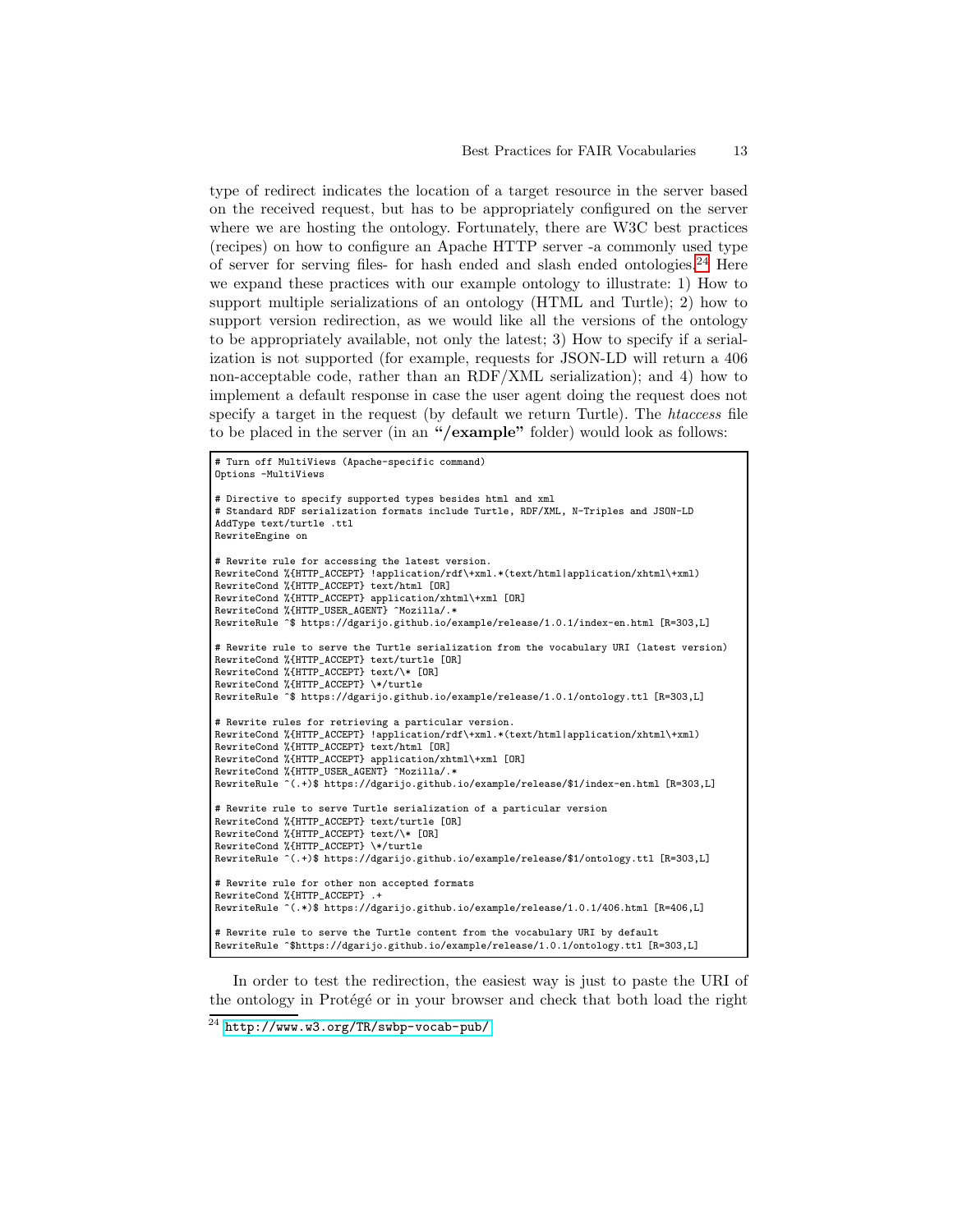type of redirect indicates the location of a target resource in the server based on the received request, but has to be appropriately configured on the server where we are hosting the ontology. Fortunately, there are W3C best practices (recipes) on how to configure an Apache HTTP server -a commonly used type of server for serving files- for hash ended and slash ended ontologies. $^{24}$  $^{24}$  $^{24}$  Here we expand these practices with our example ontology to illustrate: 1) How to support multiple serializations of an ontology (HTML and Turtle); 2) how to support version redirection, as we would like all the versions of the ontology to be appropriately available, not only the latest; 3) How to specify if a serialization is not supported (for example, requests for JSON-LD will return a 406 non-acceptable code, rather than an RDF/XML serialization); and 4) how to implement a default response in case the user agent doing the request does not specify a target in the request (by default we return Turtle). The *htaccess* file to be placed in the server (in an "/example" folder) would look as follows:

```
# Turn off MultiViews (Apache-specific command)
Options -MultiViews
# Directive to specify supported types besides html and xml
# Standard RDF serialization formats include Turtle, RDF/XML, N-Triples and JSON-LD
AddType text/turtle .ttl
RewriteEngine on
# Rewrite rule for accessing the latest version.
RewriteCond %{HTTP_ACCEPT} !application/rdf\+xml.*(text/html|application/xhtml\+xml)
RewriteCond %{HTTP_ACCEPT} text/html [OR]
RewriteCond %{HTTP_ACCEPT} application/xhtml\+xml [OR]
RewriteCond %{HTTP_USER_AGENT} ^Mozilla/.*
RewriteRule ^$ https://dgarijo.github.io/example/release/1.0.1/index-en.html [R=303,L]
# Rewrite rule to serve the Turtle serialization from the vocabulary URI (latest version)
RewriteCond %{HTTP_ACCEPT} text/turtle [OR]
RewriteCond %{HTTP_ACCEPT} text/\* [OR]
RewriteCond %{HTTP_ACCEPT} \*/turtle
RewriteRule ^$ https://dgarijo.github.io/example/release/1.0.1/ontology.ttl [R=303,L]
# Rewrite rules for retrieving a particular version.
RewriteCond %{HTTP_ACCEPT} !application/rdf\+xml.*(text/html|application/xhtml\+xml)
RewriteCond %{HTTP_ACCEPT} text/html [OR]
RewriteCond %{HTTP_ACCEPT} application/xhtml\+xml [OR]
RewriteCond %{HTTP_USER_AGENT} ^Mozilla/.*
RewriteRule ^(.+)$ https://dgarijo.github.io/example/release/$1/index-en.html [R=303,L]
# Rewrite rule to serve Turtle serialization of a particular version
RewriteCond %{HTTP_ACCEPT} text/turtle [OR]
RewriteCond %{HTTP_ACCEPT} text/\* [OR]
RewriteCond %{HTTP_ACCEPT} \*/turtle
RewriteRule ^(.+)$ https://dgarijo.github.io/example/release/$1/ontology.ttl [R=303,L]
# Rewrite rule for other non accepted formats
RewriteCond %{HTTP_ACCEPT} .+
RewriteRule ^(.*)$ https://dgarijo.github.io/example/release/1.0.1/406.html [R=406,L]
# Rewrite rule to serve the Turtle content from the vocabulary URI by default
RewriteRule ^$https://dgarijo.github.io/example/release/1.0.1/ontology.ttl [R=303,L]
```
In order to test the redirection, the easiest way is just to paste the URI of the ontology in Protégé or in your browser and check that both load the right

<span id="page-12-0"></span> $^{24}$  <http://www.w3.org/TR/swbp-vocab-pub/>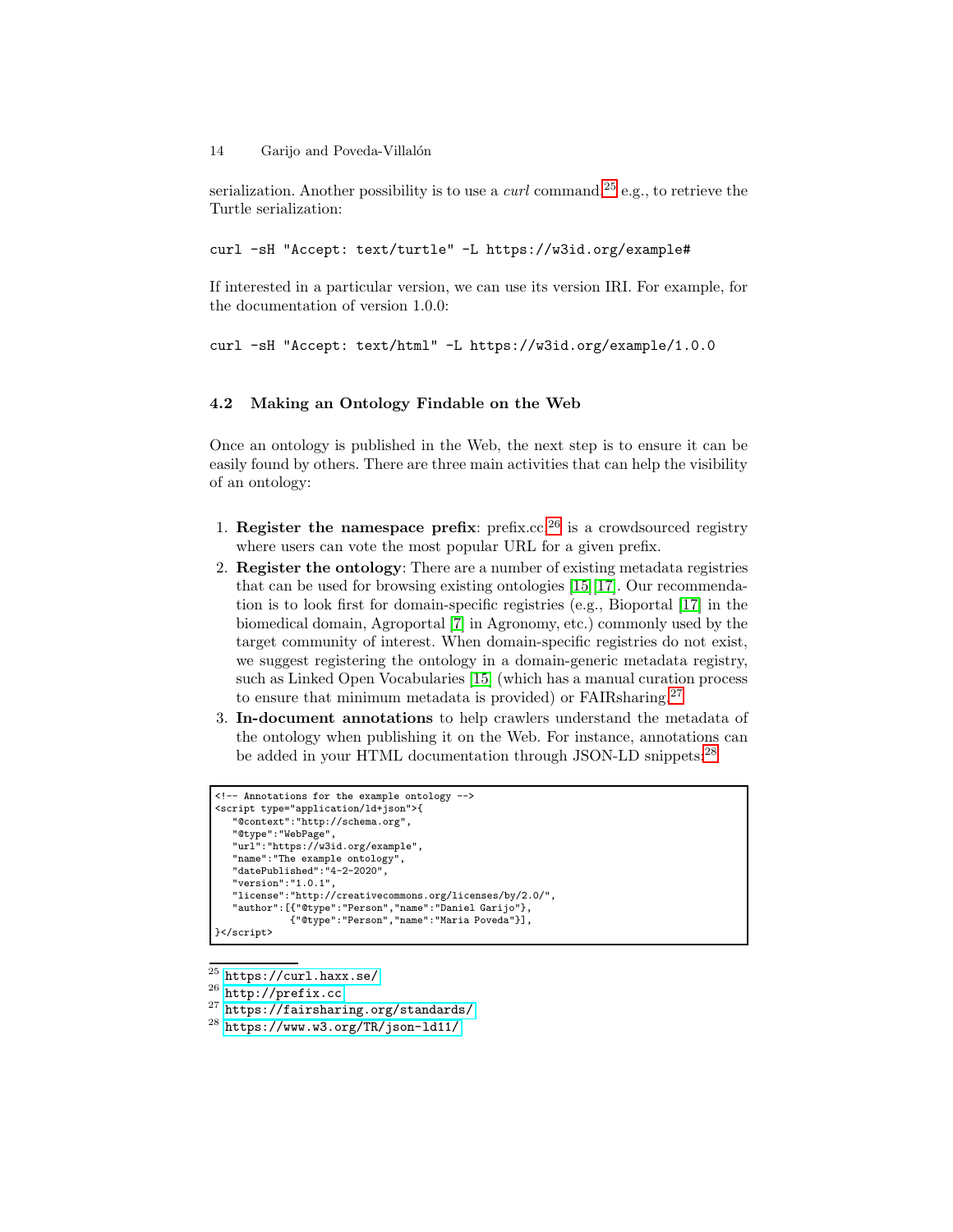serialization. Another possibility is to use a *curl* command,<sup>[25](#page-13-1)</sup> e.g., to retrieve the Turtle serialization:

curl -sH "Accept: text/turtle" -L https://w3id.org/example#

If interested in a particular version, we can use its version IRI. For example, for the documentation of version 1.0.0:

```
curl -sH "Accept: text/html" -L https://w3id.org/example/1.0.0
```
# <span id="page-13-0"></span>4.2 Making an Ontology Findable on the Web

Once an ontology is published in the Web, the next step is to ensure it can be easily found by others. There are three main activities that can help the visibility of an ontology:

- 1. Register the namespace prefix:  $\text{prefix}:\text{c}^{26}$  $\text{prefix}:\text{c}^{26}$  $\text{prefix}:\text{c}^{26}$  is a crowdsourced registry where users can vote the most popular URL for a given prefix.
- 2. Register the ontology: There are a number of existing metadata registries that can be used for browsing existing ontologies [\[15\]](#page-15-4)[\[17\]](#page-15-5). Our recommendation is to look first for domain-specific registries (e.g., Bioportal [\[17\]](#page-15-5) in the biomedical domain, Agroportal [\[7\]](#page-15-13) in Agronomy, etc.) commonly used by the target community of interest. When domain-specific registries do not exist, we suggest registering the ontology in a domain-generic metadata registry, such as Linked Open Vocabularies [\[15\]](#page-15-4) (which has a manual curation process to ensure that minimum metadata is provided) or FAIRsharing.[27](#page-13-3)
- 3. In-document annotations to help crawlers understand the metadata of the ontology when publishing it on the Web. For instance, annotations can be added in your HTML documentation through JSON-LD snippets:<sup>[28](#page-13-4)</sup>

```
<!-- Annotations for the example ontology -->
<script type="application/ld+json">{
  "@context":"http://schema.org",
   "@type":"WebPage",
   "url":"https://w3id.org/example",
   "name":"The example ontology",
"datePublished":"4-2-2020",
   "version":"1.0.1",
   "license":"http://creativecommons.org/licenses/by/2.0/",
   "author":[{"@type":"Person","name":"Daniel Garijo"},
             {"@type":"Person","name":"Maria Poveda"}],
}</script>
```
<sup>25</sup> <https://curl.haxx.se/>

```
^{26}http://prefix.cc
```
<span id="page-13-2"></span><sup>27</sup> <https://fairsharing.org/standards/>

<span id="page-13-4"></span><span id="page-13-3"></span><sup>28</sup> <https://www.w3.org/TR/json-ld11/>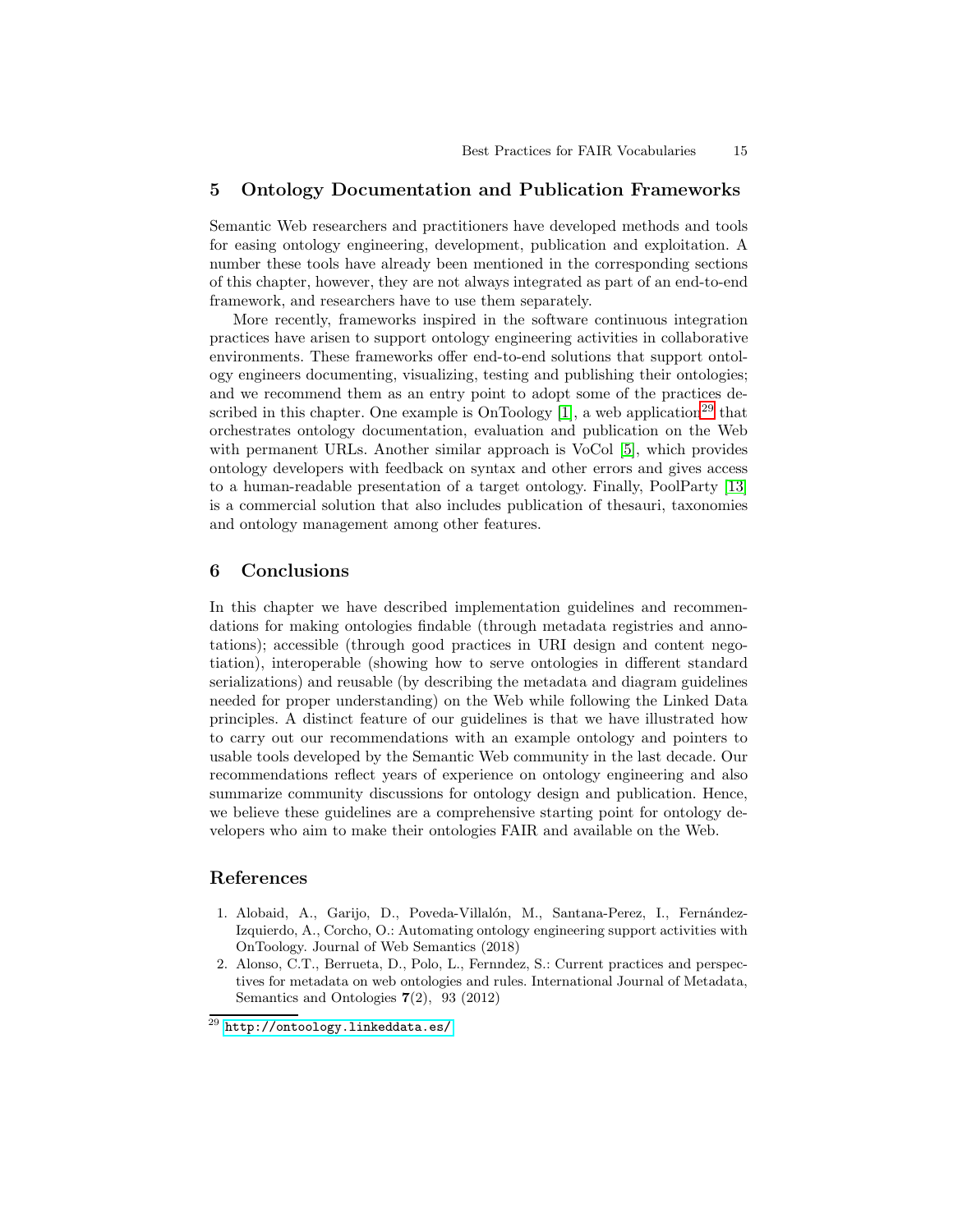### <span id="page-14-0"></span>5 Ontology Documentation and Publication Frameworks

Semantic Web researchers and practitioners have developed methods and tools for easing ontology engineering, development, publication and exploitation. A number these tools have already been mentioned in the corresponding sections of this chapter, however, they are not always integrated as part of an end-to-end framework, and researchers have to use them separately.

More recently, frameworks inspired in the software continuous integration practices have arisen to support ontology engineering activities in collaborative environments. These frameworks offer end-to-end solutions that support ontology engineers documenting, visualizing, testing and publishing their ontologies; and we recommend them as an entry point to adopt some of the practices de-scribed in this chapter. One example is OnToology [\[1\]](#page-14-3), a web application<sup>[29](#page-14-4)</sup> that orchestrates ontology documentation, evaluation and publication on the Web with permanent URLs. Another similar approach is VoCol [5], which provides ontology developers with feedback on syntax and other errors and gives access to a human-readable presentation of a target ontology. Finally, PoolParty [\[13\]](#page-15-14) is a commercial solution that also includes publication of thesauri, taxonomies and ontology management among other features.

# <span id="page-14-1"></span>6 Conclusions

In this chapter we have described implementation guidelines and recommendations for making ontologies findable (through metadata registries and annotations); accessible (through good practices in URI design and content negotiation), interoperable (showing how to serve ontologies in different standard serializations) and reusable (by describing the metadata and diagram guidelines needed for proper understanding) on the Web while following the Linked Data principles. A distinct feature of our guidelines is that we have illustrated how to carry out our recommendations with an example ontology and pointers to usable tools developed by the Semantic Web community in the last decade. Our recommendations reflect years of experience on ontology engineering and also summarize community discussions for ontology design and publication. Hence, we believe these guidelines are a comprehensive starting point for ontology developers who aim to make their ontologies FAIR and available on the Web.

#### <span id="page-14-3"></span>References

- 1. Alobaid, A., Garijo, D., Poveda-Villalón, M., Santana-Perez, I., Fernández-Izquierdo, A., Corcho, O.: Automating ontology engineering support activities with OnToology. Journal of Web Semantics (2018)
- <span id="page-14-2"></span>2. Alonso, C.T., Berrueta, D., Polo, L., Fernndez, S.: Current practices and perspectives for metadata on web ontologies and rules. International Journal of Metadata, Semantics and Ontologies 7(2), 93 (2012)

<span id="page-14-4"></span> $^{29}$  <http://ontoology.linkeddata.es/>